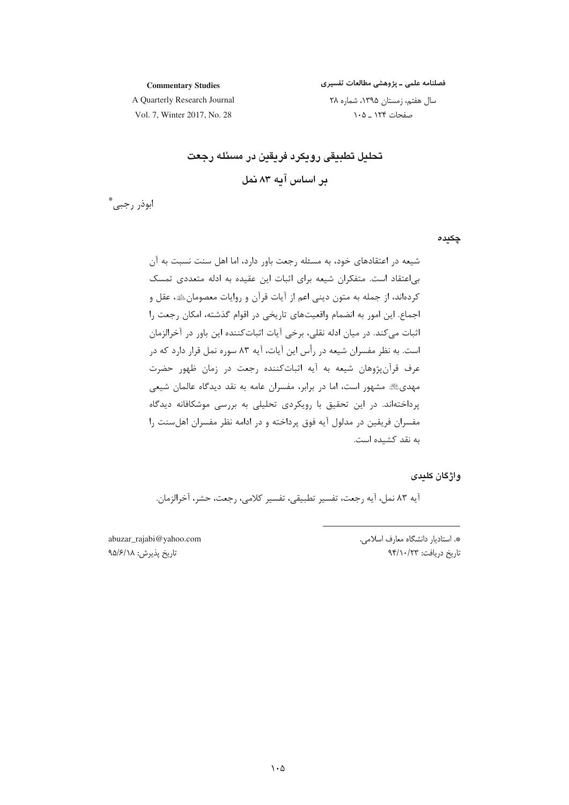فصلنامه علمی ـ پژوهشی مطالعات تفسیری

**Commentary Studies** A Quarterly Research Journal

سال هفتم، زمستان ۱۳۹۵، شماره ۲۸ صفحات ۱۲۴ ـ ۱۰۵

Vol. 7, Winter 2017, No. 28

تحليل تطبيقى رويكرد فريقين در مسئله رجعت بر اساس آبه ۸۳ نمل

ابوذر رجبي. ٌ

چکیدہ

شیعه در اعتقادهای خود، به مسئله رجعت باور دارد، اما اهل سنت نسبت به آن بی|عتقاد است. متفکران شیعه برای اثبات این عقیده به ادله متعددی تمسک كردهاند، از جمله به متون ديني اعم از آيات قرآن و روايات معصومانﷺ، عقل و اجماع. این امور به انضمام واقعیتهای تاریخی در اقوام گذشته، امکان رجعت را اثبات مي كند. در ميان ادله نقلي، برخي آيات اثبات كننده اين باور در آخرالزمان است. به نظر مفسران شیعه در رأس این آیات، آیه ۸۳ سوره نمل قرار دارد که در عرف قرآنپژوهان شیعه به آیه اثباتکننده رجعت در زمان ظهور حضرت مهدی ه مشهور است، اما در برابر، مفسران عامه به نقد دیدگاه عالمان شیعی پرداختهاند. در این تحقیق با رویکردی تحلیلی به بررسی موشکافانه دیدگاه مفسران فريقين در مدلول آيه فوق پرداخته و در ادامه نظر مفسران اهل سنت را به نقد کشیده است.

واژگان کلددی

آيه ٨٣ نمل، آيه رجعت، تفسير تطبيقي، تفسير كلامي، رجعت، حشر، آخرالزمان.

abuzar\_rajabi@yahoo.com تاريخ پذيرش: ٩۵/۶/١٨

\*. استادیار دانشگاه معارف اسلامی. تاريخ دريافت: ٩۴/١٠/٢٣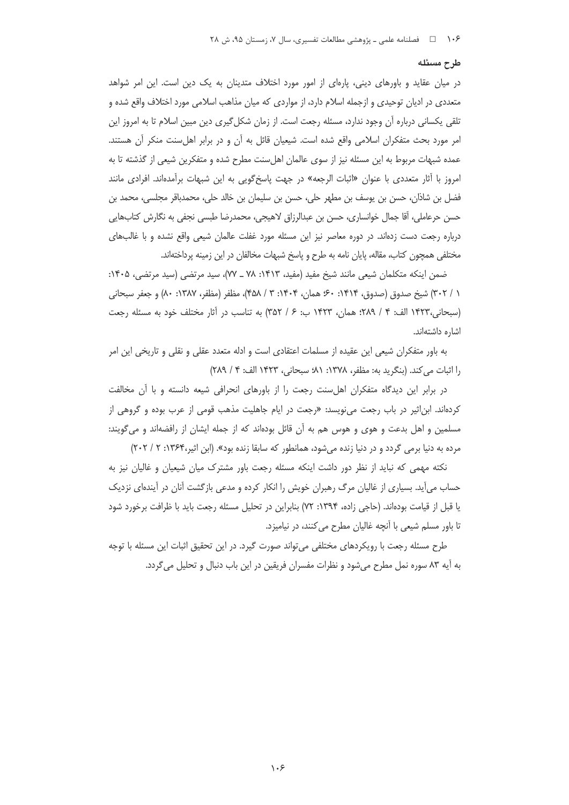### طرح مسئله

در میان عقاید و باورهای دینی، پارهای از امور مورد اختلاف متدینان به یک دین است. این امر شواهد متعددی در ادیان توحیدی و ازجمله اسلام دارد، از مواردی که میان مذاهب اسلامی مورد اختلاف واقع شده و تلقی یکسانی درباره آن وجود ندارد، مسئله رجعت است. از زمان شکل گیری دین مبین اسلام تا به امروز این امر مورد بحث متفكران اسلامي واقع شده است. شيعيان قائل به آن و در برابر اهل سنت منكر آن هستند. عمده شبهات مربوط به این مسئله نیز از سوی عالمان اهلِسنت مطرح شده و متفکرین شیعی از گذشته تا به امروز با آثار متعددي با عنوان «اثبات الرجعه» در جهت پاسخ\$ويي به اين شبهات برآمدهاند. افرادي مانند فضل بن شاذان، حسن بن يوسف بن مطهر حلي، حسن بن سليمان بن خالد حلي، محمدباقر مجلسي، محمد بن حسن حرعاملي، أقا جمال خوانساري، حسن بن عبدالرزاق لاهيجي، محمدرضا طبسي نجفي به نگارش كتابهايي درباره رجعت دست زدهاند. در دوره معاصر نیز این مسئله مورد غفلت عالمان شیعی واقع نشده و با غالبهای مختلفی همچون کتاب، مقاله، پایان نامه به طرح و پاسخ شبهات مخالفان در این زمینه پرداختهاند.

ضمن اينكه متكلمان شيعي مانند شيخ مفيد (مفيد، ١٤١٣: ٧٨ ـ ٧٧)، سيد مرتضى (سيد مرتضى، ١۴٠۵: ١ / ٣٠٢) شيخ صدوق (صدوق، ١۴١۴: ٤٠٠ همان، ١۴٠۴: ٣ / ۴۵۸)، مظفر (مظفر، ١٣٨٧: ٨٠) و جعفر سبحاني (سبحاني،١٤٢٣ الف: ٤ / ٢٨٩؛ همان، ١٤٢٣ ب: ۶ / ٣۵٢) به تناسب در آثار مختلف خود به مسئله رجعت اشاره داشتهاند.

به باور متفکران شیعی این عقیده از مسلمات اعتقادی است و ادله متعدد عقلی و نقلی و تاریخی این امر را اثبات می کند. (بنگرید به: مظفر، ۱۳۷۸: ۸۱؛ سبحانی، ۱۴۲۳ الف: ۴ / ۲۸۹)

در برابر این دیدگاه متفکران اهلسنت رجعت را از باورهای انحرافی شیعه دانسته و با آن مخالفت کردهاند. ابناثیر در باب رجعت میiویسد: «رجعت در ایام جاهلیت مذهب قومی از عرب بوده و گروهی از مسلمین و اهل بدعت و هوی و هوس هم به آن قائل بودهاند که از جمله ایشان از رافضهاند و میگویند: مرده به دنیا برمی گردد و در دنیا زنده میشود، همانطور که سابقا زنده بود». (ابن اثیر،۱۳۶۴: ۲۰۲ / ۲۰۲)

نکته مهمی که نباید از نظر دور داشت اینکه مسئله رجعت باور مشترک میان شیعیان و غالیان نیز به حساب میآید. بسیاری از غالیان مرگ رهبران خویش را انکار کرده و مدعی بازگشت آنان در آیندهای نزدیک یا قبل از قیامت بودهاند. (حاجی زاده، ۱۳۹۴: ۷۲) بنابراین در تحلیل مسئله رجعت باید با ظرافت برخورد شود تا باور مسلم شیعی با آنچه غالیان مطرح می کنند، در نیامیزد.

طرح مسئله رجعت با رویکردهای مختلفی می تواند صورت گیرد. در این تحقیق اثبات این مسئله با توجه به آیه ۸۳ سوره نمل مطرح می شود و نظرات مفسران فریقین در این باب دنبال و تحلیل می گردد.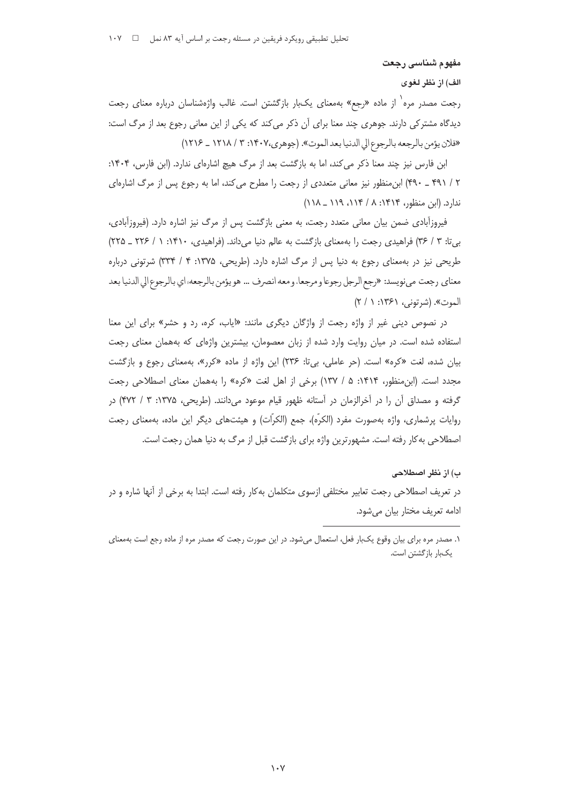مفهوم شناسي رجعت

الف) از نظر لغوى

رجعت مصدر مره<sup>٬</sup> از ماده «رجع» بهمعنای یکبار بازگشتن است. غالب واژهشناسان درباره معنای رجعت دیدگاه مشترکی دارند. جوهری چند معنا برای آن ذکر میکند که یکی از این معانی رجوع بعد از مرگ است: «فلان يؤمن بالرجعه بالرجوع الى الدنيا بعد الموت». (جوهري،١٤٠٧: ٣ / ١٢١٨ \_ ١٢١۶)

ابن فارس نیز چند معنا ذکر می کند، اما به بازگشت بعد از مرگ هیچ اشارهای ندارد. (ابن فارس، ۱۴۰۴: ۲ / ۴۹۱ \_ ۴۹۰) ابن منظور نیز معانی متعددی از رجعت را مطرح می کند، اما به رجوع پس از مرگ اشارهای ندارد. (ابن منظور، ۱۴۱۴: ۸ / ۱۱۴، ۱۱۹ \_ ۱۱۸)

فیروزآبادی ضمن بیان معانی متعدد رجعت، به معنی بازگشت پس از مرگ نیز اشاره دارد. (فیروزآبادی، بیتا: ٣ / ٣۶) فراهیدی رجعت را بهمعنای بازگشت به عالم دنیا میداند. (فراهیدی، ١۴١٠: ١ / ٢٢٤ ـ ٢٢٥) طریحی نیز در به معنای رجوع به دنیا پس از مرگ اشاره دارد. (طریحی، ۱۳۷۵: ۴ / ۳۳۴) شرتونی درباره معناي رجعت ميiويسد: «رجع الرجل رجوعا ومرجعا، ومعه انصرف … هو يؤمن بالرجعه؛ اي بالرجوع الي الدنيا بعد الموت». (شرتوني، ۱۳۶۱: ۱ / ۲)

در نصوص دینی غیر از واژه رجعت از واژگان دیگری مانند: «ایاب، کره، رد و حشر» برای این معنا استفاده شده است. در میان روایت وارد شده از زبان معصومان، بیشترین واژهای که بههمان معنای رجعت بیان شده، لغت «کره» است. (حر عاملی، بی تا: ۲۳۶) این واژه از ماده «کرر»، بهمعنای رجوع و بازگشت مجدد است. (ابن منظور، ۱۴۱۴: ۵ / ۱۳۷) برخی از اهل لغت «کره» را بههمان معنای اصطلاحی رجعت گرفته و مصداق أن را در أخرالزمان در أستانه ظهور قيام موعود مىدانند. (طريحي، ۱۳۷۵: ۳ / ۴۷۲) در روايات پرشماري، واژه بهصورت مفرد (الكرّه)، جمع (الكرّات) و هيئتهاي ديگر اين ماده، بهمعناي رجعت اصطلاحی به کار رفته است. مشهورترین واژه برای بازگشت قبل از مرگ به دنیا همان رجعت است.

#### ب) از نظر اصطلاحی

در تعریف اصطلاحی رجعت تعابیر مختلفی ازسوی متکلمان بهکار رفته است. ابتدا به برخی از آنها شاره و در ادامه تعریف مختار بیان میشود.

١. مصدر مره براي بيان وقوع يكبار فعل، استعمال مي شود. در اين صورت رجعت كه مصدر مره از ماده رجع است بهمعناي یکبار بازگشتن است.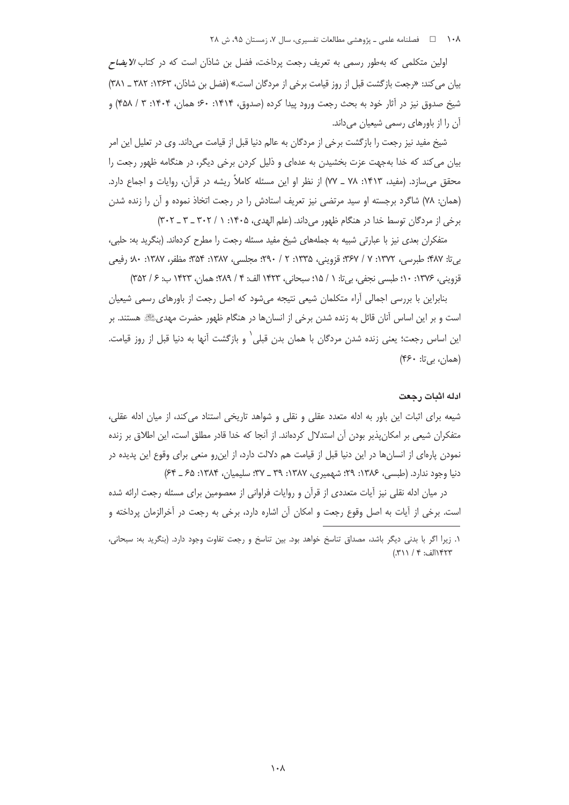١٠٨ ه هلنامه علمي ـ پژوهشي مطالعات تفسيري، سال ٧، زمستان ٩٥، ش ٢٨

اولین متکلمی که بهطور رسمی به تعریف رجعت پرداخت، فضل بن شاذان است که در کتاب *الایضاح* بیان می کند: «رجعت بازگشت قبل از روز قیامت برخی از مردگان است.» (فضل بن شاذان، ۱۳۶۳: ۳۸۲ ـ ۳۸۱) شيخ صدوق نيز در آثار خود به بحث رجعت ورود پيدا كرده (صدوق، ۱۴۱۴: ۶۰؛ همان، ۱۴۰۴: ۳ / ۴۵۸) و آن را از باورهای رسمی شیعیان میداند.

شیخ مفید نیز رجعت را بازگشت برخی از مردگان به عالم دنیا قبل از قیامت میداند. وی در تعلیل این امر بیان می کند که خدا بهجهت عزت بخشیدن به عدهای و ذلیل کردن برخی دیگر، در هنگامه ظهور رجعت را محقق میسازد. (مفید، ۱۴۱۳: ۷۸ ـ ۷۷) از نظر او این مسئله کاملاً ریشه در قرآن، روایات و اجماع دارد. (همان: ٧٨) شاگرد برجسته او سيد مرتضى نيز تعريف استادش را در رجعت اتخاذ نموده و آن را زنده شدن برخی از مردگان توسط خدا در هنگام ظهور میداند. (علم الهدی، ۱۴۰۵: ۱/ ۳۰۲ \_ ۳ \_ ۳۰۲)

متفکران بعدی نیز با عبارتی شبیه به جملههای شیخ مفید مسئله رجعت را مطرح کردهاند. (بنگرید به: حلبی، بي¤ا: ۴۸۷؛ طبرسي، ۱۳۷۲: ۷ / ۳۶۷؛ قزويني، ۱۳۳۵: ۲ / ۴۹۰؛ مجلسي، ۱۳۸۷: ۳۵۴؛ مظفر، ۱۳۸۷: ۸۰؛ رفيعي قزويني، ١٣٧۶: ١٠؛ طبسي نجفي، بيتا: ١ / ١٥؛ سبحاني، ١۴٢٣ الف: ٤ / ٢٨٩؛ همان، ١۴٢٣ ب: ۶ / ٣۵٢)

بنابراین با بررسی اجمالی آراء متکلمان شیعی نتیجه می شود که اصل رجعت از باورهای رسمی شیعیان است و بر این اساس آنان قائل به زنده شدن برخی از انسانها در هنگام ظهور حضرت مهدیﷺ هستند. بر این اساس رجعت؛ یعنی زنده شدن مردگان با همان بدن قبلی` و بازگشت آنها به دنیا قبل از روز قیامت. (همان، بي تا: ۴۶۰)

#### ادله اثبات , حعت

شیعه برای اثبات این باور به ادله متعدد عقلی و نقلی و شواهد تاریخی استناد می کند، از میان ادله عقلی، متفكران شيعي بر امكان يذير بودن آن استدلال كردهاند. از آنجا كه خدا قادر مطلق است، اين اطلاق بر زنده نمودن یارمای از انسانها در این دنیا قبل از قیامت هم دلالت دارد، از این٫رو منعی برای وقوع این پدیده در دنیا وجود ندارد. (طبسی، ۱۳۸۶: ۲۹؛ شهمیری، ۱۳۸۷: ۳۹ ـ ۳۷؛ سلیمیان، ۱۳۸۴: ۶۵ ـ ۶۴)

در میان ادله نقلی نیز آیات متعددی از قرآن و روایات فراوانی از معصومین برای مسئله رجعت ارائه شده است. برخی از آیات به اصل وقوع رجعت و امکان آن اشاره دارد، برخی به رجعت در آخرالزمان پرداخته و

١. زيرا اگر با بدني ديگر باشد، مصداق تناسخ خواهد بود. بين تناسخ و رجعت تفاوت وجود دارد. (بنگريد به: سبحاني، ١٣٢٣الف: ٤ / ٣١١).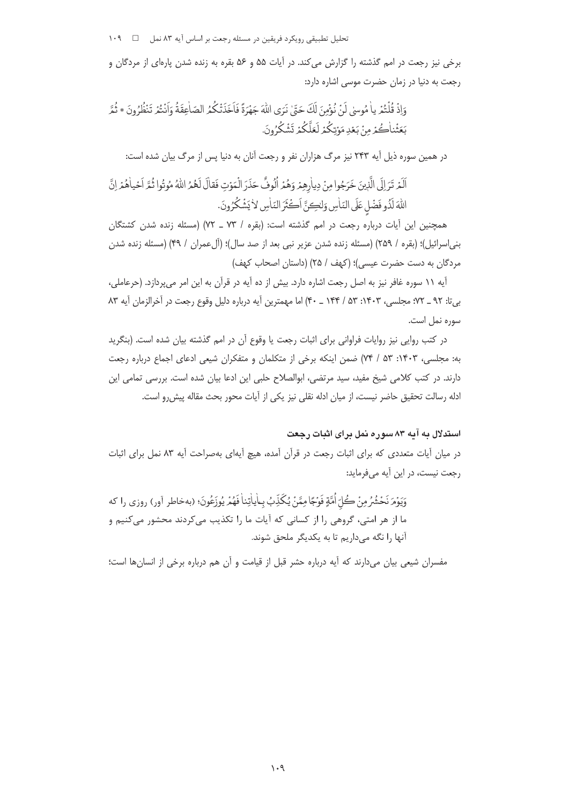برخی نیز رجعت در امم گذشته را گزارش میکند. در آیات ۵۵ و ۵۶ بقره به زنده شدن پارهای از مردگان و رجعت به دنیا در زمان حضرت موسی اشاره دارد:

وَإِذْ قُلْتُمْرِ ياٰ مُوسىٰ لَنْ نُوْمُينَ لَكَ حَقٍّ نَرَى اللَّهَ جَهْرَةً فَاَخَذَتْكُمُ الصّاٰعِقَةُ وَاَنْتُمْ تَنْظُرُونَ \* ثُمَّر بَعَثْنِاكُمْ مِنْ بَعْدِ مَوْتِكُمْ لَعَلَّكُمْ تَشْكُرُونَ.

در همین سوره ذیل آیه ۲۴۳ نیز مرگ هزاران نفر و رجعت آنان به دنیا پس از مرگ بیان شده است:

اَلَمْ تَرَالَى الَّذِينَ خَرَجُوا مِنْ دِياْرِهِمْ وَهُمْ اُلُوفٌ حَذَرَ الْمَوْتِ فَقالَ لَهُمُ اللّهُ مُوتُوا ثُمَّ اَحْياهُمْ اِنَّ اللهَ لَذُو فَضْلِ عَلَى النّاسِ وَلْكِنَّ أَكْثَرَ النّاسِ لاٰ يَشْكُرُونَ.

همچنین این آیات درباره رجعت در امم گذشته است: (بقره / ٧٣ ـ ٧٢) (مسئله زنده شدن كشتگان بني|سرائيل)؛ (بقره / ٢٥٩) (مسئله زنده شدن عزير نبي بعد از صد سال)؛ (ألءمران / ۴۹) (مسئله زنده شدن مردگان به دست حضرت عیسی)؛ (کهف / ۲۵) (داستان اصحاب کهف)

آيه ١١ سوره غافر نيز به اصل رجعت اشاره دارد. بيش از ده آيه در قرآن به اين امر مي پردازد. (حرعاملي، بي تا: ٩٢ \_ ٧٢؛ مجلسي، ١٤٠٣: ٥٣ / ١۴۴ \_ ۴٠) اما مهمترين آيه درباره دليل وقوع رجعت در آخرالزمان آيه ٨٣ سوره نمل است.

در کتب روایی نیز روایات فراوانی برای اثبات رجعت یا وقوع آن در امم گذشته بیان شده است. (بنگرید به: مجلسی، ۱۴۰۳: ۵۳ / ۷۴) ضمن اینکه برخی از متکلمان و متفکران شیعی ادعای اجماع درباره رجعت دارند. در کتب کلامی شیخ مفید، سید مرتضی، ابوالصلاح حلبی این ادعا بیان شده است. بررسی تمامی این ادله رسالت تحقیق حاضر نیست، از میان ادله نقلی نیز یکی از آیات محور بحث مقاله پیش رو است.

# استدلال به آیه ۸۳ سوره نمل برای اثبات رجعت

در میان آیات متعددی که برای اثبات رجعت در قرآن آمده، هیچ آیهای بهصراحت آیه ۸۳ نمل برای اثبات رجعت نیست، در این آیه میفرماید:

وَيَوْمَ نَحْشُرُمِنْ كُلّ أُمَّةٍ فَوْجًا مِمَّنْ يُكَذِّبُ بِماٰياٰتِنا فَهُمْ يُوزَعُونَ؛ (بهخاطر آور) روزي را كه ما از هر امتی، گروهی را از کسانی که آیات ما را تکذیب میکردند محشور میکنیم و آنها را نگه میداریم تا به یکدیگر ملحق شوند.

مفسران شیعی بیان می(دارند که آیه درباره حشر قبل از قیامت و آن هم درباره برخی از انسانها است؛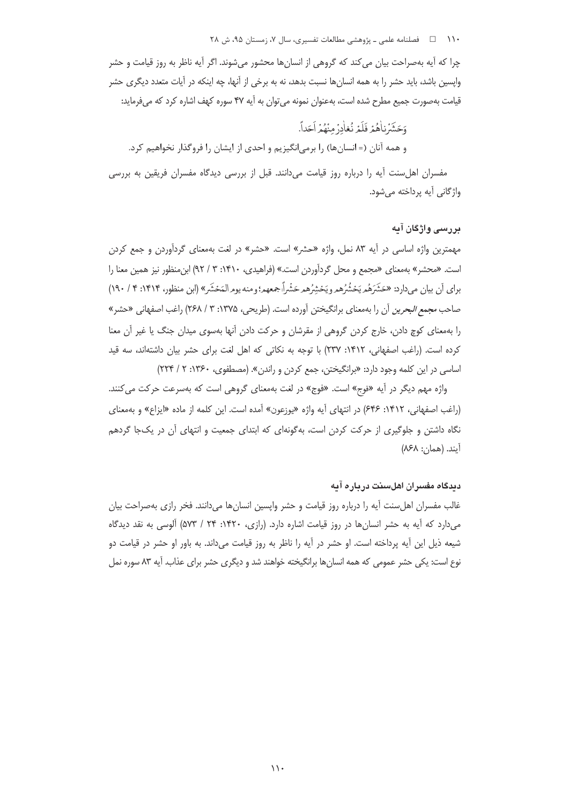۱۱۰ فصلنامه علمی ـ پژوهشی مطالعات تفسیری، سال ۰۷ زمستان ۹۵، ش ۲۸

چرا که آیه بهصراحت بیان می کند که گروهی از انسانها محشور می شوند. اگر آیه ناظر به روز قیامت و حشر وایسین باشد، باید حشر را به همه انسانها نسبت بدهد، نه به برخی از آنها، چه اینکه در آیات متعدد دیگری حشر قیامت بهصورت جمیع مطرح شده است، بهعنوان نمونه می توان به آیه ۴۷ سوره کهف اشاره کرد که میفرماید:

وَحَشَرْنِاهُمْ فَلَمْ نُغاٰدرْ مِنْهُمْ اَحَداً. و همه آنان (= انسانها) را برمیانگیزیم و احدی از ایشان را فروگذار نخواهیم کرد.

مفسران اهل سنت آیه را درباره روز قیامت می دانند. قبل از بررسی دیدگاه مفسران فریقین به بررسی واژگانی آیه پرداخته میشود.

# بررسی واژگان آیه

مهمترین واژه اساسی در آیه ۸۳ نمل، واژه «حشر» است. «حشر» در لغت بهمعنای گردآوردن و جمع کردن است. «محشر» بهمعنای «مجمع و محل گردآوردن است.» (فراهیدی، ۱۴۱۰: ۳ / ۹۲) ابن منظور نیز همین معنا را براي أن بيان مي دارد: «حَشَرَهُم يَحْشُرُهم ويَحْشِرُهم حَشْراً جمعهم؛ ومنه يوم المَحْشَرِ» (ابن منظور، ۱۴۱۴: ۴/ ۱۹۰) صاحب *مجمع البحرين* آن را بهمعناي برانگيختن آورده است. (طريحي، ١٣٧۵: ٣ / ٢۶٨) راغب اصفهاني «حشر» را بهمعنای کوچ دادن، خارج کردن گروهی از مقرشان و حرکت دادن آنها بهسوی میدان جنگ یا غیر آن معنا کرده است. (راغب اصفهانی، ۱۴۱۲: ۲۳۷) با توجه به نکاتی که اهل لغت برای حشر بیان داشتهاند، سه قید اساسی در این کلمه وجود دارد: «برانگیختن، جمع کردن و راندن». (مصطفوی، ۱۳۶۰: ۲ / ۲۲۴)

واژه مهم دیگر در آیه «فوج» است. «فوج» در لغت بهمعنای گروهی است که بهسرعت حرکت می کنند. (راغب اصفهانی، ۱۴۱۲: ۶۴۶) در انتهای آیه واژه «یوزعون» آمده است. این کلمه از ماده «ایزاع» و بهمعنای نگاه داشتن و جلوگیری از حرکت کردن است، بهگونهای که ابتدای جمعیت و انتهای آن در یکجا گردهم آيند. (همان: ٨۶٨)

# دىدگاه مفسران اھلسىنت دريارە آيە

غالب مفسران اهلسنت آيه را درباره روز قيامت و حشر واپسين انسانها مىدانند. فخر رازى بهصراحت بيان میدارد که آیه به حشر انسانها در روز قیامت اشاره دارد. (رازی، ۱۴۲۰: ۲۴ / ۵۷۳) آلوسی به نقد دیدگاه شیعه ذیل این آیه پرداخته است. او حشر در آیه را ناظر به روز قیامت می،داند. به باور او حشر در قیامت دو نوع است: یکی حشر عمومی که همه انسانها برانگیخته خواهند شد و دیگری حشر برای عذاب. آیه ۸۳ سوره نمل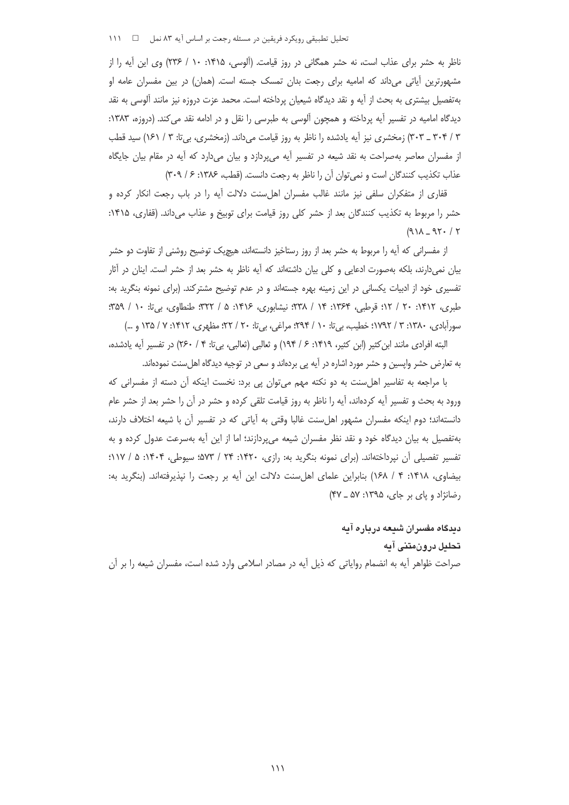نحلیل تطبیقی رویکرد فریقین در مسئله رجعت بر اساس آیه ۸۳ نمل ← 1 \ ۱۱۱

ناظر به حشر برای عذاب است، نه حشر همگانی در روز قیامت. (اَلوسی، ۱۴۱۵: ۱۰ / ۲۳۶) وی این آیه را از : مشهورترین آیاتی میداند که امامیه برای رجعت بدان تمسک جسته است. (همان) در بین مفسران عامه او بهتفصیل بیشتری به بحث از أیه و نقد دیدگاه شیعیان پرداخته است. محمد عزت دروزه نیز مانند ألوسی به نقد دیدگاه امامیه در تفسیر آیه پرداخته و همچون آلوسی به طبرسی را نقل و در ادامه نقد می کند. (دروزه، ۱۳۸۳: : ۳۰۴ ـ ۳۰۳) زمخشری نیز أیه یادشده را ناظر به روز قیامت میداند. (زمخشری، بیتا: ۳ / ۱۶۱) سید قطب ز مفسران معاصر بهصراحت به نقد شیعه در تفسیر أیه میپردازد و بیان میدارد که أیه در مقام بیان جایگاه عذاب تكذيب كنندگان است و نمىتوان أن را ناظر به رجعت دانست. (قطب، ١٣٨۶: ۶ / ٣٠٩) :

قفاری از متفکران سلفی نیز مانند غالب مفسران اهلسنت دلالت أیه را در باب رجعت انکار کرده و حشر را مربوط به تكذيب كنندگان بعد از حشر كلي روز قيامت براي توبيخ و عذاب ميداند. (قفاري، ۱۴۱۵: :  $(91)$  - 95. / 5

از مفسرانی که آیه را مربوط به حشر بعد از روز رستاخیز دانستهاند، هیچیک توضیح روشنی از تفاوت دو حشر بیان نمی(دارند، بلکه بهصورت ادعایی و کلی بیان داشتهاند که آیه ناظر به حشر بعد از حشر است. اینان در آثار نفسیری خود از ادبیات یکسانی در این زمینه بهره جستهاند و در عدم توضیح مشترکند. (برای نمونه بنگرید به: طبری، ۱۴۱۲: ۲۰ / ۱۲. قرطبی، ۱۳۶۴: ۱۴ / ۱۳۸؛ نیشابوری، ۱۴۱۶: ۵ / ۳۲۲؛ طنطاوی، بیتا: ۱۰ / ۳۵۹. : :  $\ddot{\phantom{a}}$ سوراًبادی، ۱۳۸۰: ۳ / ۱۷۹۲؛ خطیب، بیتا: ۱۰ / ۲۹۴: مراغی، بیتا: ۲۰ / ۲۲؛ مظهری، ۱۴۱۲: ۷ / ۱۳۵ و …) : j

لبته افرادي مانند ابن كثير (ابن كثير، ١۴١٩: ۶ / ١٩۴) و ثعالبي (ثعالبي، بيتا: ۴ / ٢۶٠) در تفسير أيه يادشده، j به تعارض حشر واپسین و حشر مورد اشاره در آیه پی بردهاند و سعی در توجیه دیدگاه اهلٍسنت نمودهاند.

با مراجعه به تفاسیر اهل سنت به دو نکته مهم می توان یی برد: نخست اینکه آن دسته از مفسرانی که ورود به بحث و تفسير أيه كردهاند، أيه را ناظر به روز قيامت تلقى كرده و حشر در أن را حشر بعد از حشر عام دانستهاند؛ دوم اینکه مفسران مشهور اهلِسنت غالبا وقتی به أیاتی که در تفسیر أن با شیعه اختلاف دارند، بهتفصیل به بیان دیدگاه خود و نقد نظر مفسران شیعه میپردازند؛ اما از این آیه بهسرعت عدول کرده و به نفسیر تفصیلی أن نپرداختهاند. (برای نمونه بنگرید به: رازی، ۱۴۲۰: ۲۴ / ۵۷۳؛ سیوطی، ۱۴۰۴: ۵ / ۱۱۷؛ : : ییضاوی، ۱۴۱۸: ۴ / ۱۶۸) بنابراین علمای اهلسنت دلالت این أیه بر رجعت را نپذیرفتهاند. (بنگرید به:  $\ddot{\phantom{a}}$ رضانژاد و پای بر جای، ۱۳۹۵: ۵۷ ـ ۴۷) j

> د**ی**دگاه مفسران شیعه درباره ایه تحلیل درونم**تن**ی ایه

صراحت ظواهر أيه به انضمام رواياتي كه ذيل أيه در مصادر اسلامي وارد شده است، مفسران شيعه را بر أن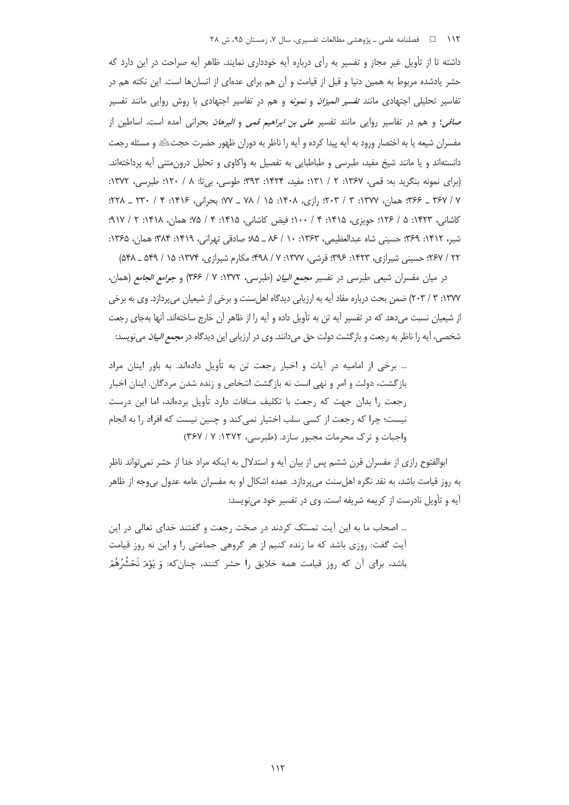#### ۱۱۲ هـ فصلنامه علمي ـ پژوهشي مطالعات تفسيري، سال ۰۷ زمستان ۹۵، ش ۲۸

داشته تا از تأویل غیر مجاز و تفسیر به رأی درباره آیه خودداری نمایند. ظاهر آیه صراحت در این دارد که حشر یادشده مربوط به همین دنیا و قبل از قیامت و آن هم برای عدهای از انسانها است. این نکته هم در تفاسیر تحلیلی اجتهادی مانند *تفسیر المیزان* و *نمونه* و هم در تفاسیر اجتهادی با روش روایی مانند تفسیر صافى؛ و هم در تفاسير روايي مانند تفسير *على بن ابراهيم قمى و البرهان* بحراني آمده است. اساطين از مفسران شیعه یا به اختصار ورود به آیه پیدا کرده و آیه را ناظر به دوران ظهور حضرت حجتﷺ و مسئله رجعت دانستەاند و یا مانند شیخ مفید، طبرسی و طباطبایی به تفصیل به واکاوی و تحلیل درون,متنی آبه پرداختهاند. (برای نمونه بنگرید به: قمی، ۱۳۶۷: ۲ / ۱۳۱؛ مفید، ۱۴۲۴: ۳۹۳: طوسی، بی تا: ۸ / ۱۲۰؛ طبرسی، ۱۳۷۲: ٧ / ٣۶٧ \_ ٣۶۶: همان، ١٣٧٧: ٣ / ٢٠٣: رازي، ١٠٤١: ١٥ / ٧٨ \_ ٧٧: جراني، ١٣١۶: ٢ / ٣٣٠ \_ ٢٢٨: كاشاني، ١٣٢٣: ۵ / ١٢۶؛ حويزي، ١٣١۵: ۴ / ١٠٠؛ فيض كاشاني، ١٣١۵: ۴ / ٧٥؛ همان، ١٣١٨: ٢ / ٩١٧؛ شبر، ١۴١٢: ٣۶٩؛ حسيني شاه عبدالعظيمي، ١٣۶٣: ١٠ / ٨٤ ـ ٨٥؛ صادقي تهراني، ١٣١٩: ٣٨٣؛ همان، ١٣۶۵: ۲۲ / ۲۶۷؛ حسینی شیرازی، ۱۴۲۳: ۳۹۶؛ قرشی، ۱۳۷۷: ۷ / ۴۹۸؛ مکارم شیرازی، ۱۳۷۴: ۱۵ / ۵۴۹ ـ ۵۴۸)

در میان مفسران شیعی طبرسی در تفسیر مجمع *البیان* (طبرسی، ۱۳۷۲: ۷ / ۳۶۶) و *جوامع الجامع* (همان، ١٣٧٧: ٣ / ٢٠٣) ضمن بحث درباره مفاد آيه به ارزيابي ديدگاه اهل سنت و برخي از شيعيان مي يردازد. وي به برخي از شیعیان نسبت میدهد که در تفسیر آیه تن به تأویل داده و آیه را از ظاهر آن خارج ساختهاند. آنها بهجای رجعت شخصی ، آیه را ناظر به رجعت و بازگشت دولت حق میدانند. وی در ارزیابی این دیدگاه در *مجمع البیان* مینویسد:

… برخی از امامیه در آیات و اخبار رجعت تن به تأویل دادهاند. به باور اینان مراد بازگشت، دولت و امر و نهی است نه بازگشت اشخاص و زنده شدن مردگان. اینان اخبار رجعت را بدان جهت كه رجعت با تكليف منافات دارد تأويل بردهاند، اما اين درست نیست؛ چرا که رجعت از کسی سلب اختیار نمیکند و چنین نیست که افراد را به انجام واجبات و ترک محرمات مجبور سازد. (طبرسی، ۱۳۷۲: ۷/ ۳۶۷)

ابوالفتوح رازی از مفسران قرن ششم پس از بیان آیه و استدلال به اینکه مراد خدا از حشر نمی تواند ناظر به روز قیامت باشد، به نقد نگره اهلِسنت میپردازد. عمده اشکال او به مفسران عامه عدول بیeجه از ظاهر آيه و تأويل نادرست از كريمه شريفه است. وي در تفسير خود مي نويسد:

... اصحاب ما به این آیت تمسّک کردند در صحّت رجعت و گفتند خدای تعالی در این آیت گفت: روزی باشد که ما زنده کنیم از هر گروهی جماعتی را و این نه روز قیامت باشد، براي آن كه روز قيامت همه خلايق را حشر كنند، چنانِكه: وَ يَوْمَ نَحْشُرُهُمْ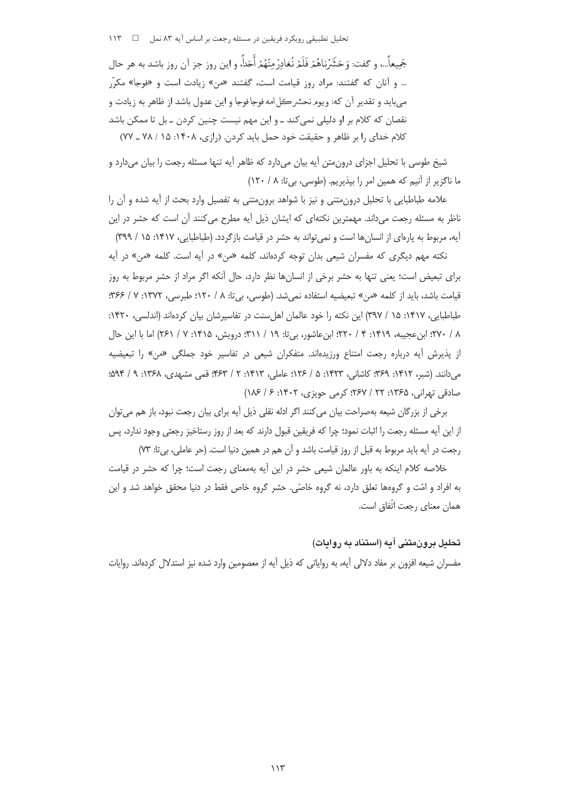تحلیل تطبیقی رویکرد فریقین در مسئله رجعت بر اساس آیه ۸۳ نمل ه سا ۱۱۳

جَميعاً...، و گفت: وَحَشَرُناهُمْ فَلَمْ نُغادِرٌ منْهُمْ أَحَداً، و اين روز جز آن روز باشد به هر حال ... و آنان که گفتند: مراد روز قیامت است، گفتند «من» زیادت است و «فوجا» مکرّر م بايد و تقدير آن كه: ويوم نحشر كل امه فوجا فوجا و اين عدول باشد از ظاهر به زيادت و نقصان که کلام بر او دلیلی نمیکند ـ و این مهم نیست چنین کردن ـ بل تا ممکن باشد کلام خدای را بر ظاهر و حقیقت خود حمل باید کردن. (رازی، ۱۴۰۸: ۱۵ / ۷۸ ـ ۷۷)

شیخ طوسی با تحلیل اجزای درون،متن آیه بیان می دارد که ظاهر آیه تنها مسئله رجعت را بیان می دارد و ما ناگزیر از آنیم که همین امر را بپذیریم. (طوسی، بیتا: ۸ / ۱۲۰)

علامه طباطبایی با تحلیل درون متنی و نیز با شواهد برون متنی به تفصیل وارد بحث از آیه شده و آن را ناظر به مسئله رجعت میداند. مهمترین نکتهای که ایشان ذیل آیه مطرح می کنند آن است که حشر در این آیه، مربوط به پارهای از انسانها است و نمی تواند به حشر در قیامت بازگردد. (طباطبایی، ۱۴۱۷: ۱۵ / ۳۹۹)

نکته مهم دیگری که مفسران شیعی بدان توجه کردهاند، کلمه «من» در آیه است. کلمه «من» در آیه برای تبعیض است؛ یعنی تنها به حشر برخی از انسانها نظر دارد، حال آنکه اگر مراد از حشر مربوط به روز قيامت باشد، بايد از كلمه «من» تبعيضيه استفاده نمي شد. (طوسي، بي تا: ٨ / ١٢٠؛ طبرسي، ١٣٧٢: ٧ / ٣۶۶؛ طباطبایی، ۱۴۱۷: ۱۵ / ۳۹۷) این نکته را خود عالمان اهل سنت در تفاسیرشان بیان کردهاند (اندلسی، ۱۴۲۰: ٢/ ٢٧٠؛ ابن عجيبه، ١٤١٩: ٤ / ٢٢٠؛ ابنِ عاشور، بي تا: ١٩ / ٣١١؛ درويش، ١٤١٥: ٧ / ٢۶١) اما با اين حال از پذیرش آیه درباره رجعت امتناع ورزیدهاند. متفکران شیعی در تفاسیر خود جملگی «من» را تبعیضیه مي دانند. (شبر، ١۴١٢: ٣۶٩: كاشاني، ١٣٢٣: ۵ / ١٢۶: عاملي، ١۴١٣: ٢ / ٤٣٣: قمي مشهدي، ١٣۶٨: ٩ / ٥٩۴: صادقی تھرانی، ۱۳۶۵: ۲۲ / ۲۶۷؛ کرمی جویزی، ۱۴۰۲: ۶ / ۱۸۶)

برخی از بزرگان شیعه بهصراحت بیان میکنند اگر ادله نقلی ذیل آیه برای بیان رجعت نبود، باز هم می توان از این آیه مسئله رجعت را اثبات نمود؛ چرا که فریقین قبول دارند که بعد از روز رستاخیز رجعتی وجود ندارد، پس رجعت در آيه بايد مربوط به قبل از روز قيامت باشد و آن هم در همين دنيا است. (حر عاملي، بيuت: ٧٣)

خلاصه کلام اینکه به باور عالمان شیعی حشر در این آیه بهمعنای رجعت است؛ چرا که حشر در قیامت به افراد و امّت و گروهها تعلق دارد، نه گروه خاصّی. حشر گروه خاص فقط در دنیا محقق خواهد شد و این همان معناي رجعت اتّفاق است.

# تحلیل برون،تنی آیه (استناد به روایات)

مفسران شیعه افزون بر مفاد دلالی آیه، به روایاتی که ذیل آیه از معصومین وارد شده نیز استدلال کردهاند. روایات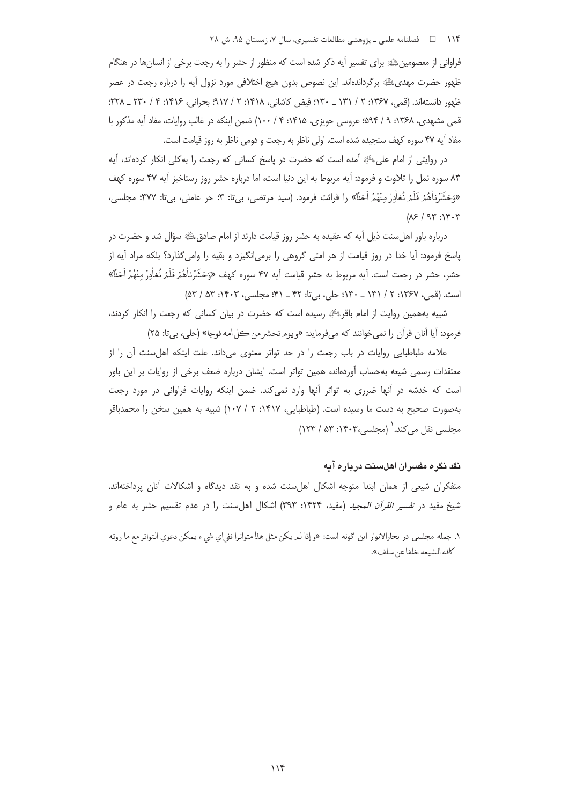فراوانی از معصومین ﷺ برای تفسیر آیه ذکر شده است که منظور از حشر را به رجعت برخی از انسان ها در هنگام ظهور حضرت مهدىءلله برگرداندهاند. اين نصوص بدون هيچ اختلافي مورد نزول آيه را درباره رجعت در عصر ظهور دانستهاند. (قمي، ۱۳۶۷: ۲ / ۱۳۱ \_ ۱۳۰؛ فيض كاشاني، ۱۴۱۸: ۲ / ۹۱۷؛ بحراني، ۱۴۱۶: ۴ / ۲۳۰ \_ ۲۲۸. قمی مشهدی، ۱۳۶۸: ۹ / ۵۹۴: عروسی حویزی، ۱۴۱۵: ۴ / ۱۰۰) ضمن اینکه در غالب روایات، مفاد آیه مذکور با مفاد آيه ۴۷ سوره كهف سنجيده شده است. اولى ناظر به رجعت و دومي ناظر به روز قيامت است.

در روايتي از امام على ﷺ آمده است كه حضرت در ياسخ كساني كه رجعت را به كلي انكار كردهاند، آيه ٨٣ سوره نمل را تلاوت و فرمود: آيه مربوط به اين دنيا است، اما درباره حشر روز رستاخيز آيه ۴۷ سوره كهف «وَحَشَرْناٰهُمْ فَلَمْ نُغاٰدِرْ مِنْهُمْ اَحَدًا» را قرائت فرمود. (سید مرتضی، بی تا: ٣: حر عاملی، بی تا: ٣٧٧: مجلسی،  $(X^{\varphi}/91^{\circ}:Y^{\varphi}\cdot Y^{\circ})$ 

درباره باور اهلسنت ذیل آیه که عقیده به حشر روز قیامت دارند از امام صادقﷺ سؤال شد و حضرت در پاسخ فرمود: آیا خدا در روز قیامت از هر امتی گروهی را برمی|نگیزد و بقیه را وامیگذارد؟ بلکه مراد آیه از حشر، حشر در رجعت است. أيه مربوط به حشر قيامت أيه ۴۷ سوره كهف «وَحَشَرُناهُمْ فَلَمْ نُغاٰدِرٌ منْهُمْ اَحَلَّاً» است. (قمي، ١٣۶٧: ٢ / ١٣١ \_ ١٣٠: حلي، بي تا: ۴٢ \_ ۴١: مجلسي، ١۴٠٣: ۵٣ / ۵٣)

شبیه بههمین روایت از امام باقر ﷺ رسیده است که حضرت در بیان کسانی که رجعت را انکار کردند، فرمود: آيا آنان قرآن را نمي خوانند كه مي فرمايد: «ويومر نحشر من كل امه فوجا» (حلي، بي تا: ٢۵)

علامه طباطبایی روایات در باب رجعت را در حد تواتر معنوی می داند. علت اینکه اهل سنت آن را از معتقدات رسمی شیعه بهحساب آوردهاند، همین تواتر است. ایشان درباره ضعف برخی از روایات بر این باور است که خدشه در آنها ضرری به تواتر آنها وارد نمیکند. ضمن اینکه روایات فراوانی در مورد رجعت بهصورت صحيح به دست ما رسيده است. (طباطبايي، ١۴١٧: ٢ / ١٠٧) شبيه به همين سخن را محمدباقر مجلسی نقل می کند. (مجلسی،۱۴۰۳: ۵۳ / ۱۲۳)

### <u>نقر نگر ۾ مفسر ان اهلسنت در يار ۾ آيه </u>

متفکران شیعی از همان ابتدا متوجه اشکال اهلسنت شده و به نقد دیدگاه و اشکالات آنان پرداختهاند. شیخ مفید در ت*فسیر القرآن المجید* (مفید، ۱۴۲۴: ۳۹۳) اشکال اهلسنت را در عدم تقسیم حشر به عام و

۱. جمله مجلسي در بحارالانوار اين گونه است: «و إذا لمريكن مثل هذا متواترا ففي|ى شيء يمكن دعوى التواتر مع ما روته كافه الشيعه خلفاعن سلف».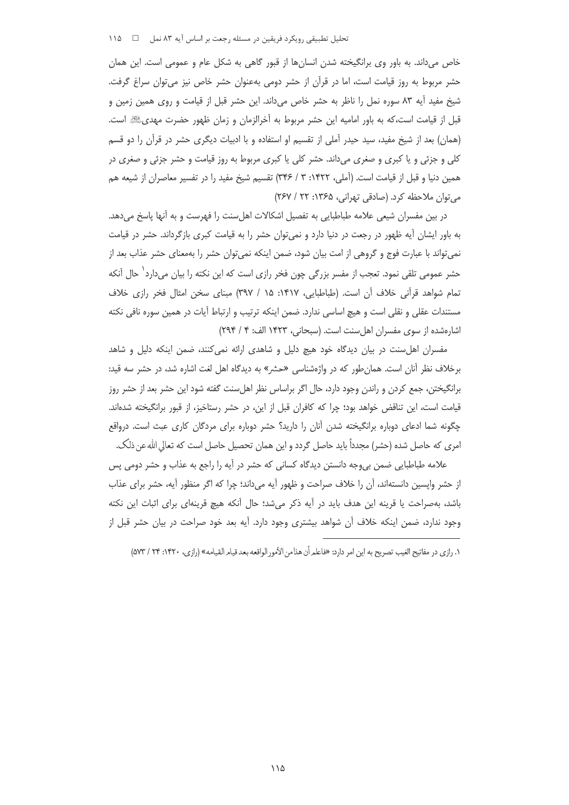تحلیل تطبیقی رویکرد فریقین در مسئله رجعت بر اساس آیه ۸۳ نمل = ه ۱۱۵

خاص می داند. به باور وی برانگیخته شدن انسانها از قبور گاهی به شکل عام و عمومی است. این همان حشر مربوط به روز قیامت است، اما در قرآن از حشر دومی بهعنوان حشر خاص نیز میتوان سراغ گرفت. شیخ مفید آیه ۸۳ سوره نمل را ناظر به حشر خاص میداند. این حشر قبل از قیامت و روی همین زمین و قبل از قیامت است،که به باور امامیه این حشر مربوط به آخرالزمان و زمان ظهور حضرت مهدیﷺ است. (همان) بعد از شیخ مفید، سید حیدر آملی از تقسیم او استفاده و با ادبیات دیگری حشر در قرآن را دو قسم کلی و جزئی و یا کبری و صغری میداند. حشر کلی یا کبری مربوط به روز قیامت و حشر جزئی و صغری در همین دنیا و قبل از قیامت است. (آملی، ۱۴۲۲: ۳ / ۳۴۶) تقسیم شیخ مفید را در تفسیر معاصران از شیعه هم می توان ملاحظه کرد. (صادقی تهرانی، ۱۳۶۵: ۲۲ / ۲۶۷)

در بین مفسران شیعی علامه طباطبایی به تفصیل اشکالات اهل سنت را فهرست و به آنها پاسخ می دهد. به باور ایشان آیه ظهور در رجعت در دنیا دارد و نمیتوان حشر را به قیامت کبری بازگرداند. حشر در قیامت نمی تواند با عبارت فوج و گروهی از امت بیان شود، ضمن اینکه نمی توان حشر را بهمعنای حشر عذاب بعد از حشر عمومی تلقی نمود. تعجب از مفسر بزرگی چون فخر رازی است که این نکته را بیان میدارد ٰ حال آنکه تمام شواهد قرآنی خلاف آن است. (طباطبایی، ۱۴۱۷: ۱۵ / ۳۹۷) مبنای سخن امثال فخر رازی خلاف مستندات عقلی و نقلی است و هیچ اساسی ندارد. ضمن اینکه ترتیب و ارتباط آیات در همین سوره نافی نکته اشارهشده از سوی مفسران اهل سنت است. (سبحانی، ۱۴۲۳ الف: ۴ / ۲۹۴)

مفسران اهل سنت در بیان دیدگاه خود هیچ دلیل و شاهدی ارائه نمی کنند، ضمن اینکه دلیل و شاهد برخلاف نظر آنان است. همان طور که در واژهشناسی «حشر» به دیدگاه اهل لغت اشاره شد، در حشر سه قید: برانگیختن، جمع کردن و راندن وجود دارد، حال اگر براساس نظر اهلِسنت گفته شود این حشر بعد از حشر روز قیامت است، این تناقض خواهد بود؛ چرا که کافران قبل از این، در حشر رستاخیز، از قبور برانگیخته شدهاند. چگونه شما ادعای دوباره برانگیخته شدن آنان را دارید؟ حشر دوباره برای مردگان کاری عبث است. درواقع امری که حاصل شده (حشر) مجدداً باید حاصل گردد و این همان تحصیل حاصل است که تعالی الله عن ذلک.

علامه طباطبایی ضمن بیeجه دانستن دیدگاه کسانی که حشر در آیه را راجع به عذاب و حشر دومی پس از حشر واپسین دانستهاند، اًن را خلاف صراحت و ظهور آیه میداند؛ چرا که اگر منظور آیه، حشر برای عذاب باشد، بهصراحت یا قرینه این هدف باید در آیه ذکر میشد؛ حال آنکه هیچ قرینهای برای اثبات این نکته وجود ندارد، ضمن اینکه خلاف آن شواهد بیشتری وجود دارد. آیه بعد خود صراحت در بیان حشر قبل از

١. رازي در مفاتيح الغيب تصريح به اين امر دارد: «فاعلم أن هذامن الأمور الواقعه بعد قيام القيامه» (رازي، ١۴٢٠: ٢۴ / ٥٧٣)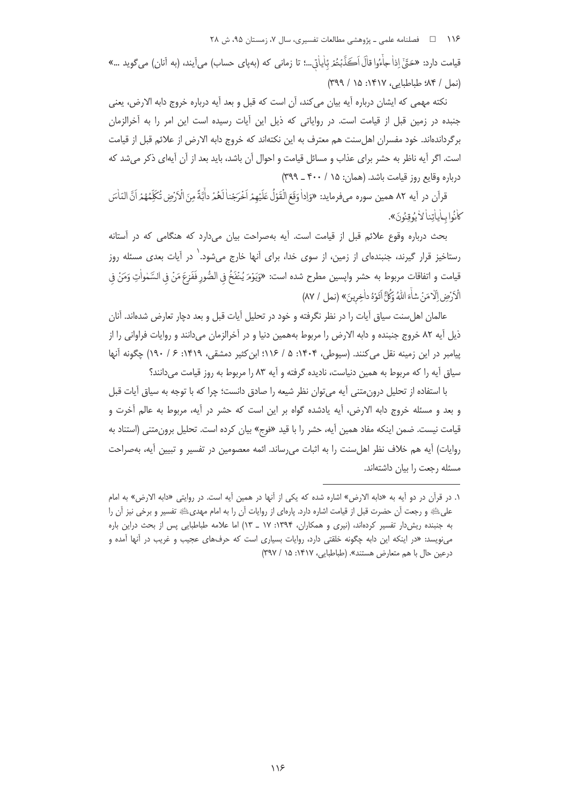قيامت دارد: «حَقٌّ إذاْ جِأْءُوا قالَ اَكَذَّبْتُمْ بَاٰياٰتِي...؛ تا زماني كه (بهياي حساب) مي آيند، (به آنان) مي گويد ...» (نمل / ٨۴؛ طباطبايي، ١٣١٧: ١٥ / ٣٩٩)

نكته مهمى كه ايشان درباره آيه بيان مى كند، آن است كه قبل و بعد آيه درباره خروج دابه الارض، يعني جنبده در زمین قبل از قیامت است. در روایاتی که ذیل این آیات رسیده است این امر را به آخرالزمان برگرداندهاند. خود مفسران اهل سنت هم معترف به این نکتهاند که خروج دابه الارض از علائم قبل از قیامت است. اگر آیه ناظر به حشر برای عذاب و مسائل قیامت و احوال آن باشد، باید بعد از آن آیهای ذکر میشد که درباره وقايع روز قيامت باشد. (همان: ١۵ / ۴۰۰ ـ ٣٩٩)

قرآن در آيه ٨٢ همين سوره ميفرمايد: «وَإِداْ وَقَعَ الْقَوْلُ عَلَيْهِمْ اَخْرَجْناْ لَهُمْ داْبَةً مِنَ الْأَرْضِ تُكَلِّمُهُمْ اَنَّ النّاسَ كانُوا ساماتنا لاُ مُوقِنُونَ».

بحث درباره وقوع علائم قبل از قیامت است. آیه بهصراحت بیان میدارد که هنگامی که در آستانه رستاخیز قرار گیرند، جنبندهای از زمین، از سوی خدا، برای آنها خارج میشود. ٰ در آیات بعدی مسئله روز قيامت و اتفاقات مربوط به حشر واپسين مطرح شده است: «وَيَوْمَ يُنْفَخُ في الصُّور فَفَزعَ مَنْ في السَّمٰواٰتِ وَمَنْ في الْإَرْضِ إِلَّا مَنْ شَاٰءَ اللَّهُ وَكُلَّ أَتَوْهُ داٰخِرِينَ» (نعل / ٨٧)

عالمان اهل سنت سیاق آیات را در نظر نگرفته و خود در تحلیل آیات قبل و بعد دچار تعارض شدهاند. آنان ذیل آیه ۸۲ خروج جنبنده و دابه الارض را مربوط بههمین دنیا و در آخرالزمان میدانند و روایات فراوانی را از پیامبر در این زمینه نقل می کنند. (سیوطی، ۱۴۰۴: ۵ / ۱۱۶؛ ابن کثیر دمشقی، ۱۴۱۹: ۶ / ۱۹۰) چگونه آنها سیاق آیه را که مربوط به همین دنیاست، نادیده گرفته و آیه ۸۳ را مربوط به روز قیامت می دانند؟

با استفاده از تحلیل درون متنی آیه می توان نظر شیعه را صادق دانست؛ چرا که با توجه به سیاق آیات قبل و بعد و مسئله خروج دابه الارض، آيه يادشده گواه بر اين است كه حشر در آيه، مربوط به عالم آخرت و قیامت نیست. ضمن اینکه مفاد همین آیه، حشر را با قید «فوج» بیان کرده است. تحلیل برون متنی (استناد به روايات) آيه هم خلاف نظر اهل سنت را به اثبات مي رساند. ائمه معصومين در تفسير و تبيين آيه، بهصراحت مسئله رجعت را بيان داشتهاند.

١. در قرآن در دو آيه به «دابه الارض» اشاره شده كه يكي از آنها در همين آيه است. در روايتي «دابه الارض» به امام على ﷺ و رجعت آن حضرت قبل از قيامت اشاره دارد. پارهاى از روايات آن را به امام مهدى ﷺ تفسير و برخى نيز آن را به جنبنده ریش دار تفسیر کردهاند، (نیری و همکاران، ۱۳۹۴: ۱۷ ـ ۱۳) اما علامه طباطبایی پس از بحث دراین باره می;ویسد: «در اینکه این دابه چگونه خلقتی دارد، روایات بسیاری است که حرفهای عجیب و غریب در آنها آمده و درعین حال با هم متعارض هستند». (طباطبایی، ۱۴۱۷: ۱۵ / ۳۹۷)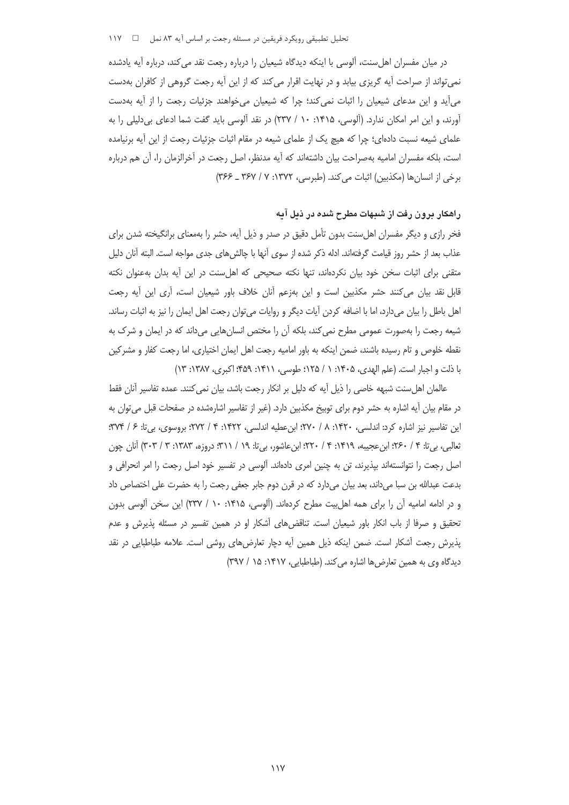تحلیل تطبیقی رویکرد فریقین در مسئله رجعت بر اساس آیه ۸۳ نمل ه س / ۱۱۷

در میان مفسران اهل سنت، آلوسی با اینکه دیدگاه شیعیان را درباره رجعت نقد می کند، درباره آیه یادشده نمی تواند از صراحت آیه گریزی بیابد و در نهایت اقرار می کند که از این آیه رجعت گروهی از کافران بهدست م آید و این مدعای شیعیان را اثبات نمی کند؛ چرا که شیعیان میخواهند جزئیات رجعت را از آیه بهدست آورند، و این امر امکان ندارد. (آلوسی، ۱۴۱۵: ۱۰ / ۲۳۷) در نقد آلوسی باید گفت شما ادعای بی دلیلی را به علمای شیعه نسبت دادهای؛ چرا که هیچ یک از علمای شیعه در مقام اثبات جزئیات رجعت از این آیه برنیامده است، بلکه مفسران امامیه بهصراحت بیان داشتهاند که آیه مدنظر، اصل رجعت در آخرالزمان را، آن هم درباره برخي از انسان ها (مكذبين) اثبات مي كند. (طبرسي، ١٣٧٢: ٧ / ٣۶٧ ـ ٣۶۶)

## راهکار برون رفت از شبهات مطرح شده در ذیل آیه

فخر رازی و دیگر مفسران اهلسنت بدون تأمل دقیق در صدر و ذیل آیه، حشر را بهمعنای برانگیخته شدن برای عذاب بعد از حشر روز قیامت گرفتهاند. ادله ذکر شده از سوی آنها با چالش های جدی مواجه است. البته أنان دلیل متقنی برای اثبات سخن خود بیان نکردهاند، تنها نکته صحیحی که اهلسنت در این آیه بدان بهعنوان نکته قابل نقد بیان می کنند حشر مکذبین است و این بهزعم آنان خلاف باور شیعیان است، آری این آیه رجعت اهل باطل را بیان میدارد، اما با اضافه کردن آیات دیگر و روایات میتوان رجعت اهل ایمان را نیز به اثبات رساند. شیعه رجعت را بهصورت عمومی مطرح نمی کند، بلکه آن را مختص انسان هایی می داند که در ایمان و شرک به نقطه خلوص و تام رسیده باشند، ضمن اینکه به باور امامیه رجعت اهل ایمان اختیاری، اما رجعت کفار و مشرکین با ذلت و اجبار است. (علم الهدي، ١٤٠۵: ١ / ١٢۵؛ طوسي، ١٤١١: ٤٥٩: اكبرى، ١٣٨٧: ١٣)

عالمان اهلِسنت شبهه خاصی را ذیل آیه که دلیل بر انکار رجعت باشد، بیان نمی کنند. عمده تفاسیر آنان فقط در مقام بیان أیه اشاره به حشر دوم برای توبیخ مکذبین دارد. (غیر از تفاسیر اشارهشده در صفحات قبل می¤وان به این تفاسیر نیز اشاره کرد: اندلسی، ۱۴۲۰: ۸ / ۲۷۰؛ ابن عطیه اندلسی، ۱۴۲۲: ۴ / ۲۷۲؛ بروسوی، بی تا: ۶ / ۳۷۴؛ ثعالبي، بي¤: ۴ / ٢۶٠؛ ابن عجيبه، ١۴١٩: ۴ / ٢٢٠؛ ابن عاشور، بي¤: ١٩ / ٣١١؛ دروزه، ١٣٨٣: ٣ / ٣٠٣) آنان چون اصل رجعت را نتوانستهاند بیذیرند، تن به چنین امری دادهاند. آلوسی در تفسیر خود اصل رجعت را امر انحرافی و بدعت عبدالله بن سبا مىداند، بعد بيان مىدارد كه در قرن دوم جابر جعفى رجعت را به حضرت على اختصاص داد و در ادامه امامیه آن را برای همه اهل بیت مطرح کردهاند. (آلوسی، ۱۴۱۵: ۱۰ / ۲۳۷) این سخن آلوسی بدون تحقیق و صرفا از باب انکار باور شیعیان است. تناقضهای آشکار او در همین تفسیر در مسئله پذیرش و عدم یذیرش رجعت آشکار است. ضمن اینکه ذیل همین آیه دچار تعارضهای روشی است. علامه طباطبایی در نقد دیدگاه وی به همین تعارض ها اشاره می کند. (طباطبایی، ۱۴۱۷: ۱۵ / ۳۹۷)

 $\vee$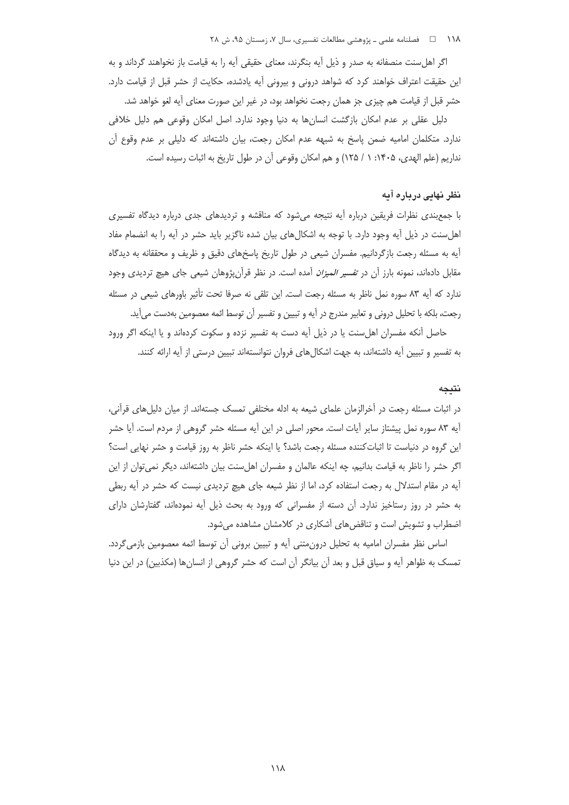۱۱۸ فصلنامه علمی ـ پژوهشی مطالعات تفسیری، سال ۷، زمستان ۹۵، ش ۲۸

اگر اهل سنت منصفانه به صدر و ذیل آیه بنگرند، معنای حقیقی آیه را به قیامت باز نخواهند گرداند و به این حقیقت اعتراف خواهند کرد که شواهد درونی و بیرونی آیه یادشده، حکایت از حشر قبل از قیامت دارد. حشر قبل از قیامت هم چیزی جز همان رجعت نخواهد بود، در غیر این صورت معنای آیه لغو خواهد شد.

دلیل عقلی بر عدم امکان بازگشت انسانها به دنیا وجود ندارد. اصل امکان وقوعی هم دلیل خلافی ندارد. متکلمان امامیه ضمن پاسخ به شبهه عدم امکان رجعت، بیان داشتهاند که دلیلی بر عدم وقوع آن نداريم (علم الهدى، ١۴٠۵: ١ / ١٢۵) و هم امكان وقوعي أن در طول تاريخ به اثبات رسيده است.

### نظر نهایی درباره آیه

با جمع بندی نظرات فریقین درباره آیه نتیجه می شود که مناقشه و تردیدهای جدی درباره دیدگاه تفسیری اهلسنت در ذیل آیه وجود دارد. با توجه به اشکالهای بیان شده ناگزیر باید حشر در آیه را به انضمام مفاد آیه به مسئله رجعت بازگردانیم. مفسران شیعی در طول تاریخ پاسخهای دقیق و ظریف و محققانه به دیدگاه مقابل دادهاند، نمونه بارز آن در ت*فسیر المیزان* آمده است. در نظر قرآنپژوهان شیعی جای هیچ تردیدی وجود ندارد که آیه ۸۳ سوره نمل ناظر به مسئله رجعت است. این تلقی نه صرفا تحت تأثیر باورهای شیعی در مسئله رجعت، بلكه با تحليل دروني و تعايير مندرج در آيه و تبيين و تفسير آن توسط ائمه معصومين بهدست مي آيد.

حاصل آنکه مفسران اهل سنت یا در ذیل آیه دست به تفسیر نزده و سکوت کردهاند و یا اینکه اگر ورود به تفسیر و تبیین آیه داشتهاند، به جهت اشکال های فروان نتوانستهاند تبیین درستی از آیه ارائه کنند.

#### نتيجه

در اثبات مسئله رجعت در آخرالزمان علمای شیعه به ادله مختلفی تمسک جستهاند. از میان دلیل های قرآنی، آيه ٨٣ سوره نمل پيشتاز ساير آيات است. محور اصلي در اين آيه مسئله حشر گروهي از مردم است. آيا حشر این گروه در دنیاست تا اثباتکننده مسئله رجعت باشد؟ یا اینکه حشر ناظر به روز قیامت و حشر نهایی است؟ اگر حشر را ناظر به قیامت بدانیم، چه اینکه عالمان و مفسران اهل سنت بیان داشتهاند، دیگر نمی توان از این آیه در مقام استدلال به رجعت استفاده کرد، اما از نظر شیعه جای هیچ تردیدی نیست که حشر در آیه ربطی به حشر در روز رستاخیز ندارد. آن دسته از مفسرانی که ورود به بحث ذیل آیه نمودهاند، گفتارشان دارای اضطراب و تشویش است و تناقضهای آشکاری در کلامشان مشاهده میشود.

اساس نظر مفسران امامیه به تحلیل درون متنی آیه و تبیین برونی آن توسط ائمه معصومین بازمی گردد. تمسک به ظواهر آیه و سیاق قبل و بعد آن بیانگر آن است که حشر گروهی از انسانها (مکذبین) در این دنیا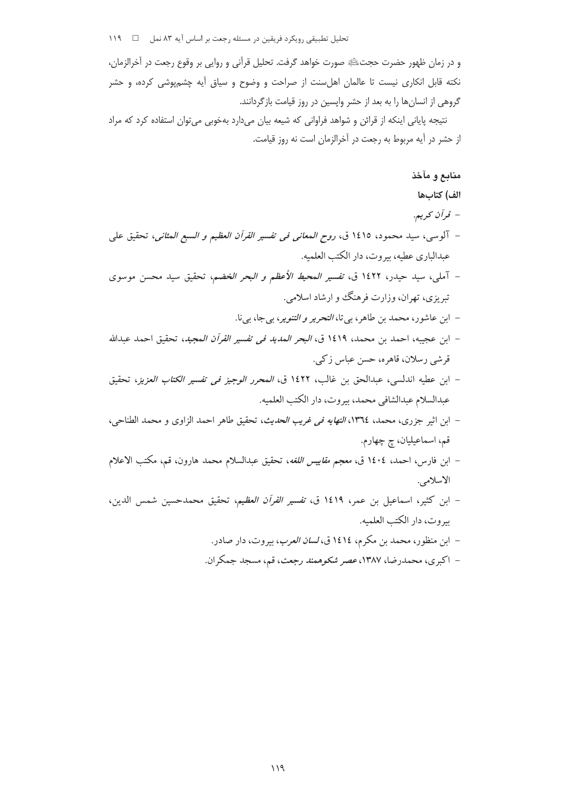و در زمان ظهور حضرت حجتﷺ صورت خواهد گرفت. تحلیل قرآنی و روایی بر وقوع رجعت در آخرالزمان، نکته قابل انکاری نیست تا عالمان اهلسنت از صراحت و وضوح و سیاق آیه چشمپوشی کرده، و حشر گروهی از انسان ها را به بعد از حشر وایسین در روز قیامت بازگردانند.

نتیجه پایانی اینکه از قرائن و شواهد فراوانی که شیعه بیان میدارد بهخوبی می توان استفاده کرد که مراد از حشر در آیه مربوط به رجعت در آخرالزمان است نه روز قیامت.

# منابع و مآخذ

### الف) كتابها

- قرآن کريم.
- آلوسي، سيد محمود، ١٤١٥ ق، *روح المعاني في تفسير القرآن العظيم و السبع المثاني*، تحقيق علي عبدالباري عطيه، بيروت، دار الكتب العلميه.
- آمل<sub>ی،</sub>، سید حیدر، ۱٤۲۲ ق، *تفسیر المحیط الأعظم و البحر الخضم،* تحقیق سید محسن موسوی تبریزی، تهران، وزارت فرهنگ وو ارشاد اسلامی.
	- ابن عاشور، محمد بن طاهر، بي تا، *التحرير و التنوير*، بيجا، بيiا.
- ابن عجيبه، احمد بن محمد، ١٤١٩ ق، *البحر المديد في تفسير القرآن المجيد*، تحقيق احمد عبدالله قرشی رسلان، قاهره، حسن عباس زکی.
- ابن عطيه اندلسي، عبدالحق بن غالب، ١٤٢٢ ق، *المحرر الوجيز في تفسير الكتاب العزيز*، تحقيق عبدالسلام عبدالشافي محمد، بيروت، دار الكتب العلميه.
- ابن اثير جزري، محمد، ١٣٦٤، *النهايه في غريب الحديث*، تحقيق طاهر احمد الزاوي و محمد الطناحي، قم، اسماعیلیان، چ چهارم.
- ابن فارس، احمد، ١٤٠٤ ق، *معجم مقاييس اللغه*، تحقيق عبدالسلام محمد هارون، قم، مكتب الاعلام الاسلامي.
- ابن كثير، اسماعيل بن عمر، ١٤١٩ ق، ت*فسير القرآن العظيم*، تحقيق محمدحسين شمس الدين، بيروت، دار الكتب العلميه.
	- ابن منظور، محمد بن مكرم، ١٤١٤ ق، *لسان العرب*، بيروت، دار صادر.
	- اکبری، محمدرضا، ۱۳۸۷، عصر شکوهمند رجعت، قم، مسجد جمکران.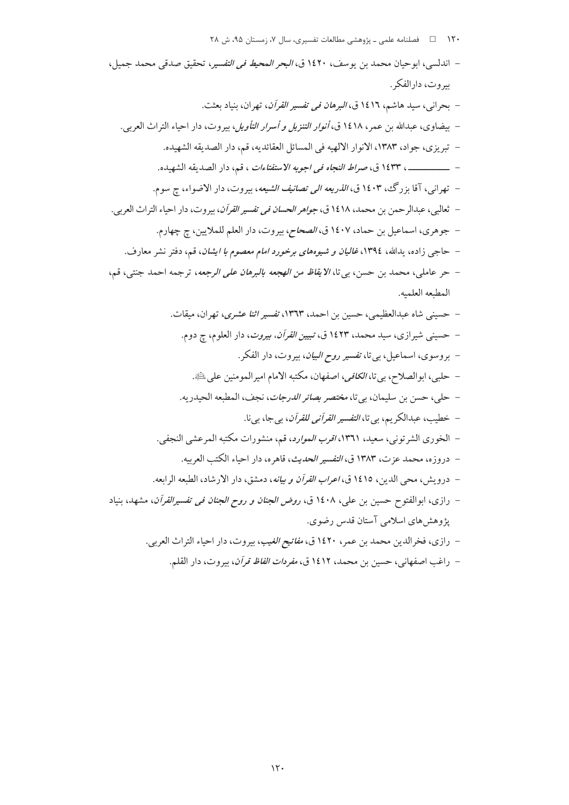۱۲۰ □ فصلنامه علمی ـ پژوهشی مطالعات تفسیری، سال ۷، زمستان ۹۵، ش ۲۸

– اندلسي، ابو حيان محمد بن بوسف، ١٤٢٠ ق، *البحر المحيط في التفسير*، تحقيق صدقي محمد جميل، بيروت، دارالفكر . – بحرانی، سید هاشم، ۱٤۱٦ ق، *البرهان فی تفسیر القرآن*، تهران، بنیاد بعثت. – بيضاوي، عبدالله بن عمر، ١٤١٨ ق، *أنوار التنزيل و أسرار التأويل*، بيروت، دار احياء التراث العربي. – تبريزي، جواد، ١٣٨٣، الانوار الالهيه في المسائل العقائديه، قم، دار الصديقه الشهيده. - \_\_\_\_\_\_\_\_\_ ، ١٤٣٣ ق، صراط النجاه في اجوبه الاستفتاءات ، قم، دار الصديقه الشهيده. – تهراني، آقا بزرگ، ١٤٠٣ ق، *الذريعه الى تصانيف الشيعه*، بيروت، دار الاضواء، چ سوم. – ثعالبي، عبدالرحمن بن محمد، ١٤١٨ ق، *جواهر الحسان في تفسير القرآن*، بيروت، دار احياء التراث العربي. – جوهري، اسماعيل بن حماد، ١٤٠٧ ق، *الصحاح*، بيروت، دار العلم للملايين، ج چهارم. – حاجی زاده، پدالله، ۱۳۹٤، *غالیان و شیوههای برخورد امام معصوم با ایشان*، قم، دفتر نشر معارف. – حر عاملي، محمد بن حسن، بي تا، *الايقاظ من الهجعه بالبرهان على الرجعه*، ترجمه احمد جنتي، قم، المطبعه العلميه. – حسینی شاه عبدالعظیمی، حسین بن احمد، ۱۳٦۳، *تفسیر اثنا عشری*، تهران، میقات. – حسینی شیرازی، سید محمد، ۱٤۲۳ ق، *تبیین القرآن، بیروت*، دار العلوم، چ دوم. – بروسوي، اسماعيل، بي تا، ت*فسير روح البيان*، بيروت، دار الفكر. – حلبي، ابوالصلاح، بي تا، *الكافي*، اصفهان، مكتبه الامام اميرالمومنين على <del>الله</del>ج. - حلي، حسن بن سليمان، بي تا، *مختصر بصائر الدرجات*، نجف، المطبعه الحيدريه. – خطيب، عبدالكريم، بي تا، *التفسير القرآني للقرآن*، بي جا، بي نا. – الخوري الشر توني، سعيد، ١٣٦١، *اقرب الموارد*، قم، منشورات مكتبه المرعشي النجفي. – دروزه، محمد عزت، ۱۳۸۳ ق، *التفسير الحديث*، قاهره، دار احياء الكتب العربيه. – درويش، محي الدين، ١٤١٥ ق، *اعراب القرآن و بيانه*، دمشق، دار الارشاد، الطبعه الرابعه. – رازى، ابوالفتوح حسين بن على، ١٤٠٨ ق، *روض الجنان و روح الجنان في تفسيرالقرآن*، مشهد، بنياد پژوهشهای اسلامی آستان قدس رضوی. – رازي، فخرالدين محمد بن عمر، ١٤٢٠ ق، *مفاتيح الغيب*، بيروت، دار احياء التراث العربي.

– راغب اصفهاني، حسين بن محمد، ١٤١٢ ق، *مفردات الفاظ قرآن*، بيروت، دار القلم.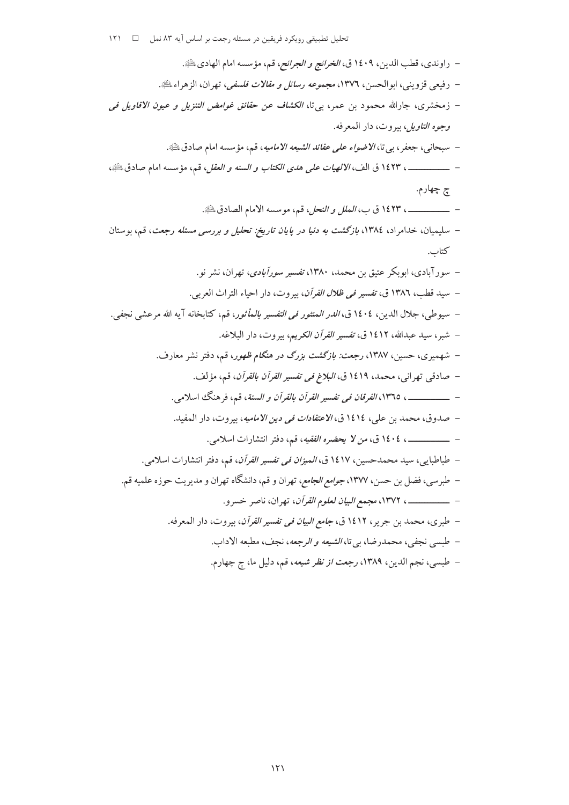تحلیل تطبیقی رویکرد فریقین در مسئله رجعت بر اساس آیه ۸۳ نمل ۔ □ ۱۲۱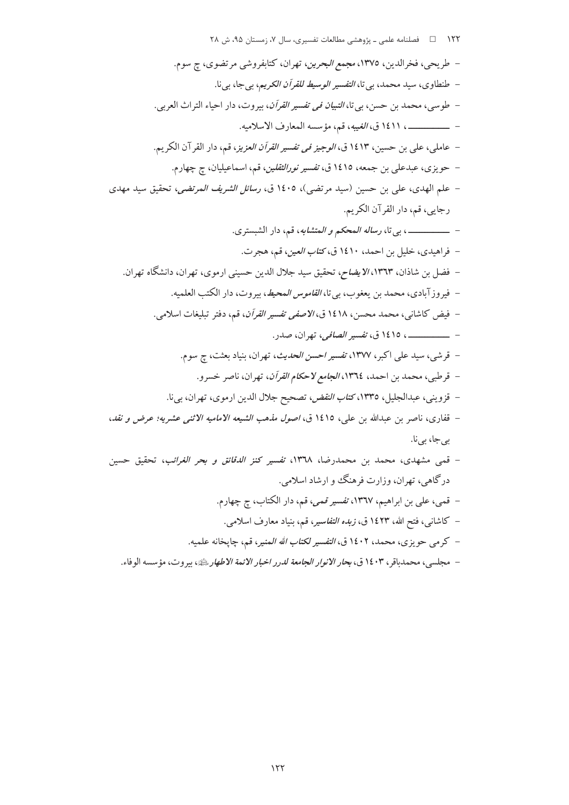– مجلسي، محمدباقر، ١٤٠٣ ق، ب*حار الانوار الجامعة لدرر اخبار الائمة الاطهار بثلث*ه، بيروت، مؤسسه الوفاء.